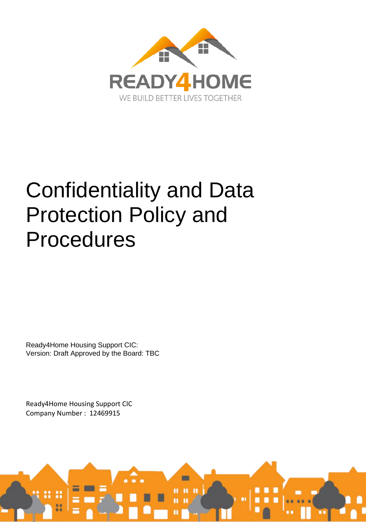

# Confidentiality and Data Protection Policy and Procedures

Ready4Home Housing Support CIC: Version: Draft Approved by the Board: TBC

Ready4Home Housing Support CIC Company Number : 12469915

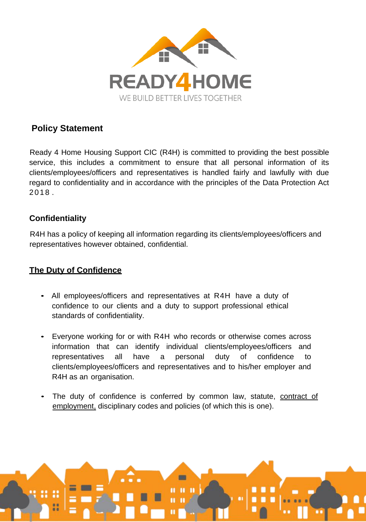

# **Policy Statement**

Ready 4 Home Housing Support CIC (R4H) is committed to providing the best possible service, this includes a commitment to ensure that all personal information of its clients/employees/officers and representatives is handled fairly and lawfully with due regard to confidentiality and in accordance with the principles of the Data Protection Act 2018 .

### **Confidentiality**

R4H has a policy of keeping all information regarding its clients/employees/officers and representatives however obtained, confidential.

# **The Duty of Confidence**

- All employees/officers and representatives at R4H have a duty of confidence to our clients and a duty to support professional ethical standards of confidentiality.
- Everyone working for or with R4H who records or otherwise comes across information that can identify individual clients/employees/officers and representatives all have a personal duty of confidence to clients/employees/officers and representatives and to his/her employer and R4H as an organisation.
- The duty of confidence is conferred by common law, statute, contract of employment, disciplinary codes and policies (of which this is one).

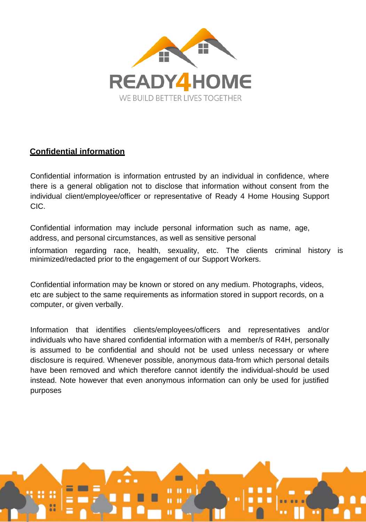

# **Confidential information**

Confidential information is information entrusted by an individual in confidence, where there is a general obligation not to disclose that information without consent from the individual client/employee/officer or representative of Ready 4 Home Housing Support CIC.

Confidential information may include personal information such as name, age, address, and personal circumstances, as well as sensitive personal

information regarding race, health, sexuality, etc. The clients criminal history is minimized/redacted prior to the engagement of our Support Workers.

Confidential information may be known or stored on any medium. Photographs, videos, etc are subject to the same requirements as information stored in support records, on a computer, or given verbally.

Information that identifies clients/employees/officers and representatives and/or individuals who have shared confidential information with a member/s of R4H, personally is assumed to be confidential and should not be used unless necessary or where disclosure is required. Whenever possible, anonymous data-from which personal details have been removed and which therefore cannot identify the individual-should be used instead. Note however that even anonymous information can only be used for justified purposes

E

 $\mathbf{u}$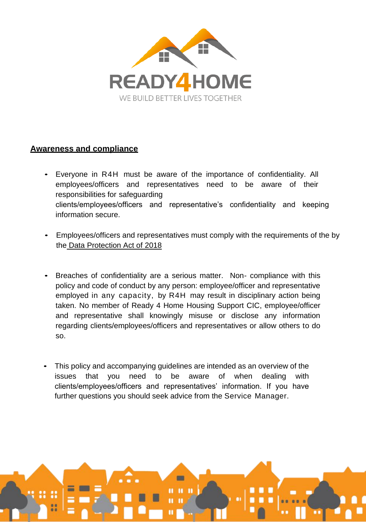

### **Awareness and compliance**

- Everyone in R4H must be aware of the importance of confidentiality. All employees/officers and representatives need to be aware of their responsibilities for safeguarding clients/employees/officers and representative's confidentiality and keeping information secure.
- Employees/officers and representatives must comply with the requirements of the by the Data Protection Act of 2018
- Breaches of confidentiality are a serious matter. Non- compliance with this policy and code of conduct by any person: employee/officer and representative employed in any capacity, by R4H may result in disciplinary action being taken. No member of Ready 4 Home Housing Support CIC, employee/officer and representative shall knowingly misuse or disclose any information regarding clients/employees/officers and representatives or allow others to do so.
- This policy and accompanying guidelines are intended as an overview of the issues that you need to be aware of when dealing with clients/employees/officers and representatives' information. If you have further questions you should seek advice from the Service Manager.

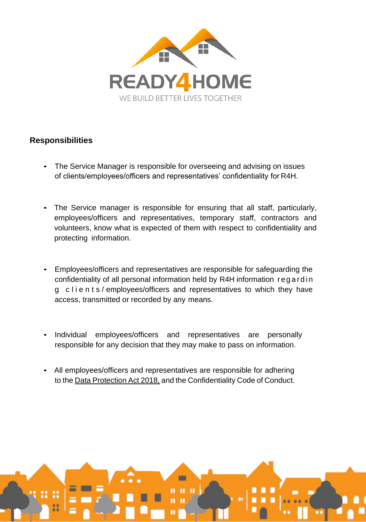

# **Responsibilities**

- The Service Manager is responsible for overseeing and advising on issues of clients/employees/officers and representatives' confidentiality for R4H.
- The Service manager is responsible for ensuring that all staff, particularly, employees/officers and representatives, temporary staff, contractors and volunteers, know what is expected of them with respect to confidentiality and protecting information.
- Employees/officers and representatives are responsible for safeguarding the confidentiality of all personal information held by R4H information reg a rd in g clients/employees/officers and representatives to which they have access, transmitted or recorded by any means.
- Individual employees/officers and representatives are personally responsible for any decision that they may make to pass on information.
- All employees/officers and representatives are responsible for adhering to the Data Protection Act 2018, and the Confidentiality Code of Conduct.

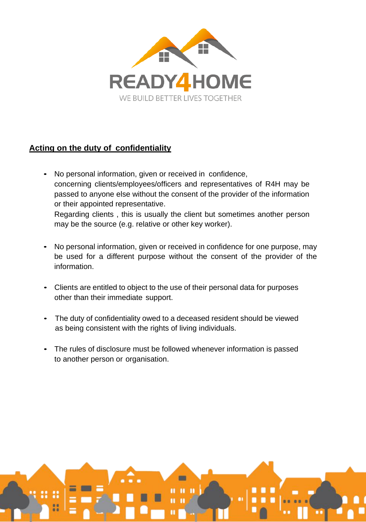

# **Acting on the duty of confidentiality**

- No personal information, given or received in confidence, concerning clients/employees/officers and representatives of R4H may be passed to anyone else without the consent of the provider of the information or their appointed representative. Regarding clients , this is usually the client but sometimes another person may be the source (e.g. relative or other key worker).
- No personal information, given or received in confidence for one purpose, may be used for a different purpose without the consent of the provider of the information.
- Clients are entitled to object to the use of their personal data for purposes other than their immediate support.
- The duty of confidentiality owed to a deceased resident should be viewed as being consistent with the rights of living individuals.
- The rules of disclosure must be followed whenever information is passed to another person or organisation.

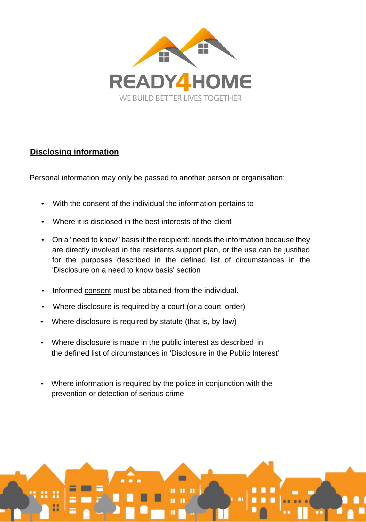

# **Disclosing information**

Personal information may only be passed to another person or organisation:

- With the consent of the individual the information pertains to
- Where it is disclosed in the best interests of the client
- On a "need to know" basis if the recipient: needs the information because they are directly involved in the residents support plan, or the use can be justified for the purposes described in the defined list of circumstances in the 'Disclosure on a need to know basis' section
- Informed consent must be obtained from the individual.
- Where disclosure is required by a court (or a court order)
- Where disclosure is required by statute (that is, by law)
- Where disclosure is made in the public interest as described in the defined list of circumstances in 'Disclosure in the Public Interest'
- Where information is required by the police in conjunction with the prevention or detection of serious crime

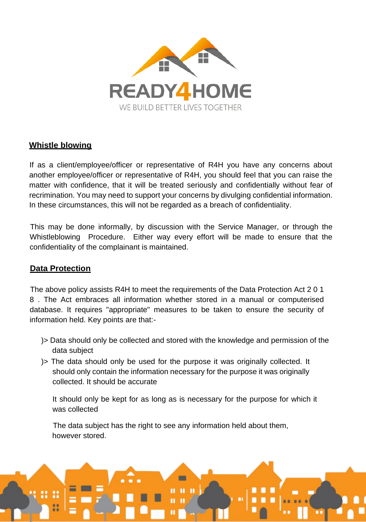

#### **Whistle blowing**

If as a client/employee/officer or representative of R4H you have any concerns about another employee/officer or representative of R4H, you should feel that you can raise the matter with confidence, that it will be treated seriously and confidentially without fear of recrimination. You may need to support your concerns by divulging confidential information. In these circumstances, this will not be regarded as a breach of confidentiality.

This may be done informally, by discussion with the Service Manager, or through the Whistleblowing Procedure. Either way every effort will be made to ensure that the confidentiality of the complainant is maintained.

#### **Data Protection**

The above policy assists R4H to meet the requirements of the Data Protection Act 2 0 1 8 . The Act embraces all information whether stored in a manual or computerised database. It requires "appropriate" measures to be taken to ensure the security of information held. Key points are that:-

- )> Data should only be collected and stored with the knowledge and permission of the data subject
- )> The data should only be used for the purpose it was originally collected. It should only contain the information necessary for the purpose it was originally collected. It should be accurate

It should only be kept for as long as is necessary for the purpose for which it was collected

The data subject has the right to see any information held about them, however stored.

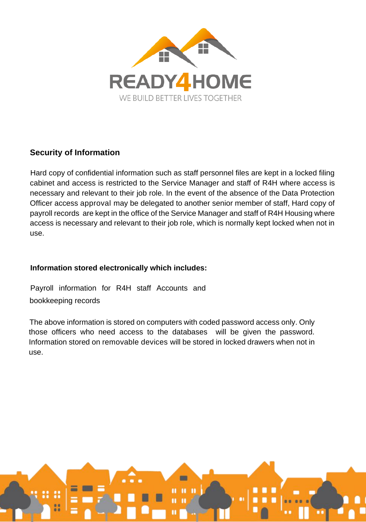

### **Security of Information**

Hard copy of confidential information such as staff personnel files are kept in a locked filing cabinet and access is restricted to the Service Manager and staff of R4H where access is necessary and relevant to their job role. In the event of the absence of the Data Protection Officer access approval may be delegated to another senior member of staff, Hard copy of payroll records are kept in the office of the Service Manager and staff of R4H Housing where access is necessary and relevant to their job role, which is normally kept locked when not in use.

#### **Information stored electronically which includes:**

Payroll information for R4H staff Accounts and bookkeeping records

The above information is stored on computers with coded password access only. Only those officers who need access to the databases will be given the password. Information stored on removable devices will be stored in locked drawers when not in use.

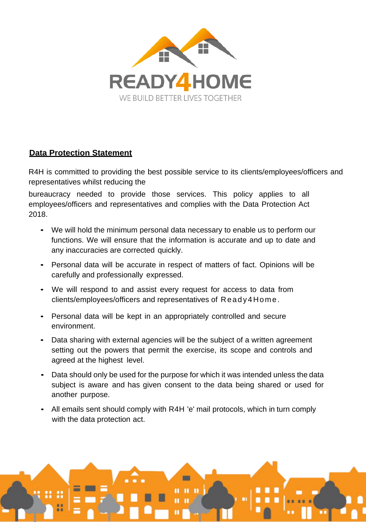

#### **Data Protection Statement**

R4H is committed to providing the best possible service to its clients/employees/officers and representatives whilst reducing the

bureaucracy needed to provide those services. This policy applies to all employees/officers and representatives and complies with the Data Protection Act 2018.

- We will hold the minimum personal data necessary to enable us to perform our functions. We will ensure that the information is accurate and up to date and any inaccuracies are corrected quickly.
- Personal data will be accurate in respect of matters of fact. Opinions will be carefully and professionally expressed.
- We will respond to and assist every request for access to data from clients/employees/officers and representatives of Read y 4 Home.
- Personal data will be kept in an appropriately controlled and secure environment.
- Data sharing with external agencies will be the subject of a written agreement setting out the powers that permit the exercise, its scope and controls and agreed at the highest level.
- Data should only be used for the purpose for which it was intended unless the data subject is aware and has given consent to the data being shared or used for another purpose.
- All emails sent should comply with R4H 'e' mail protocols, which in turn comply with the data protection act.